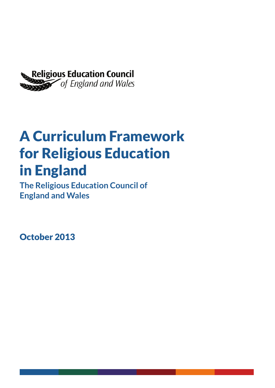

# A Curriculum Framework for Religious Education in England

**The Religious Education Council of England and Wales**

October 2013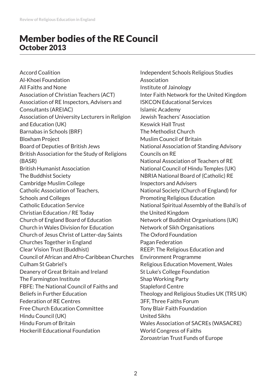## Member bodies of the RE Council October 2013

Accord Coalition Al-Khoei Foundation All Faiths and None Association of Christian Teachers (ACT) Association of RE Inspectors, Advisers and Consultants (AREIAC) Association of University Lecturers in Religion and Education (UK) Barnabas in Schools (BRF) Bloxham Project Board of Deputies of British Jews British Association for the Study of Religions (BASR) British Humanist Association The Buddhist Society Cambridge Muslim College Catholic Association of Teachers, Schools and Colleges Catholic Education Service Christian Education / RE Today Church of England Board of Education Church in Wales Division for Education Church of Jesus Christ of Latter-day Saints Churches Together in England Clear Vision Trust (Buddhist) Council of African and Afro-Caribbean Churches Culham St Gabriel's Deanery of Great Britain and Ireland The Farmington Institute FBFE: The National Council of Faiths and Beliefs in Further Education Federation of RE Centres Free Church Education Committee Hindu Council (UK) Hindu Forum of Britain Hockerill Educational Foundation

Independent Schools Religious Studies Association Institute of Jainology Inter Faith Network for the United Kingdom ISKCON Educational Services Islamic Academy Jewish Teachers' Association Keswick Hall Trust The Methodist Church Muslim Council of Britain National Association of Standing Advisory Councils on RE National Association of Teachers of RE National Council of Hindu Temples (UK) NBRIA National Board of (Catholic) RE Inspectors and Advisers National Society (Church of England) for Promoting Religious Education National Spiritual Assembly of the Bahá'ís of the United Kingdom Network of Buddhist Organisations (UK) Network of Sikh Organisations The Oxford Foundation Pagan Federation REEP: The Religious Education and Environment Programme Religious Education Movement, Wales St Luke's College Foundation Shap Working Party Stapleford Centre Theology and Religious Studies UK (TRS UK) 3FF, Three Faiths Forum Tony Blair Faith Foundation United Sikhs Wales Association of SACREs (WASACRE) World Congress of Faiths Zoroastrian Trust Funds of Europe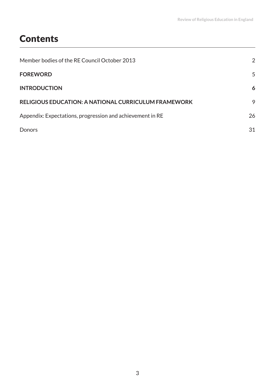# **Contents**

| Member bodies of the RE Council October 2013                | 2  |
|-------------------------------------------------------------|----|
| <b>FOREWORD</b>                                             | 5  |
| <b>INTRODUCTION</b>                                         | 6  |
| <b>RELIGIOUS EDUCATION: A NATIONAL CURRICULUM FRAMEWORK</b> | 9  |
| Appendix: Expectations, progression and achievement in RE   | 26 |
| Donors                                                      | 31 |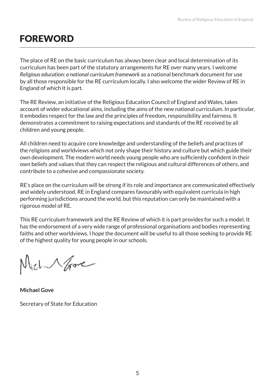# FOREWORD

The place of RE on the basic curriculum has always been clear and local determination of its curriculum has been part of the statutory arrangements for RE over many years. I welcome *Religious education: a national curriculum framework* as a national benchmark document for use by all those responsible for the RE curriculum locally. I also welcome the wider Review of RE in England of which it is part.

The RE Review, an initiative of the Religious Education Council of England and Wales, takes account of wider educational aims, including the aims of the new national curriculum. In particular, it embodies respect for the law and the principles of freedom, responsibility and fairness. It demonstrates a commitment to raising expectations and standards of the RE received by all children and young people.

All children need to acquire core knowledge and understanding of the beliefs and practices of the religions and worldviews which not only shape their history and culture but which guide their own development. The modern world needs young people who are sufficiently confident in their own beliefs and values that they can respect the religious and cultural differences of others, and contribute to a cohesive and compassionate society.

RE's place on the curriculum will be strong if its role and importance are communicated effectively and widely understood. RE in England compares favourably with equivalent curricula in high performing jurisdictions around the world, but this reputation can only be maintained with a rigorous model of RE.

This RE curriculum framework and the RE Review of which it is part provides for such a model. It has the endorsement of a very wide range of professional organisations and bodies representing faiths and other worldviews. I hope the document will be useful to all those seeking to provide RE of the highest quality for young people in our schools.

ich Nove

**Michael Gove**

Secretary of State for Education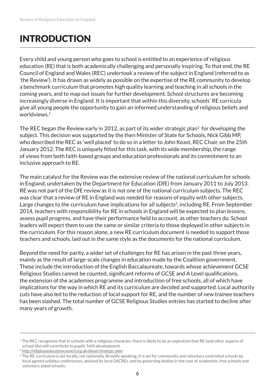# INTRODUCTION

Every child and young person who goes to school is entitled to an experience of religious education (RE) that is both academically challenging and personally inspiring. To that end, the RE Council of England and Wales (REC) undertook a review of the subject in England (referred to as 'the Review'). It has drawn as widely as possible on the expertise of the RE community to develop a benchmark curriculum that promotes high quality learning and teaching in all schools in the coming years, and to map out issues for further development. School structures are becoming increasingly diverse in England. It is important that within this diversity, schools' RE curricula give all young people the opportunity to gain an informed understanding of religious beliefs and worldviews.<sup>1</sup>

The REC began the Review early in 2012, as part of its wider strategic plan<sup>2</sup> for developing the subject. This decision was supported by the then Minister of State for Schools, Nick Gibb MP, who described the REC as 'well placed' to do so in a letter to John Keast, REC Chair, on the 25th January 2012. The REC is uniquely fitted for this task, with its wide membership, the range of views from both faith-based groups and education professionals and its commitment to an inclusive approach to RE.

The main catalyst for the Review was the extensive review of the national curriculum for schools in England, undertaken by the Department for Education (DfE) from January 2011 to July 2013. RE was not part of the DfE review as it is not one of the national curriculum subjects. The REC was clear that a review of RE in England was needed for reasons of equity with other subjects. Large changes to the curriculum have implications for all subjects<sup>3</sup>, including RE. From September 2014, teachers with responsibility for RE in schools in England will be expected to plan lessons, assess pupil progress, and have their performance held to account, as other teachers do. School leaders will expect them to use the same or similar criteria to those deployed in other subjects in the curriculum. For this reason alone, a new RE curriculum document is needed to support those teachers and schools, laid out in the same style as the documents for the national curriculum.

Beyond the need for parity, a wider set of challenges for RE has arisen in the past three years, mainly as the result of large-scale changes in education made by the Coalition government. These include the introduction of the English Baccalaureate, towards whose achievement GCSE Religious Studies cannot be counted, significant reforms of GCSE and A Level qualifications, the extension of the academies programme and introduction of free schools, all of which have implications for the way in which RE and its curriculum are decided and supported. Local authority cuts have also led to the reduction of local support for RE, and the number of new trainee teachers has been slashed. The total number of GCSE Religious Studies entries has started to decline after many years of growth.

<sup>&</sup>lt;sup>1</sup> The REC recognises that in schools with a religious character, there is likely to be an aspiration that RE (and other aspects of school life) will contribute to pupils' faith development.

<sup>2</sup>*http://religiouseducationcouncil.org.uk/about/strategic-plan*

<sup>&</sup>lt;sup>3</sup> The RE curriculum is set locally, not nationally. Broadly speaking, it is set for community and voluntary controlled schools by local agreed syllabus conferences, advised by local SACREs, and by governing bodies in the case of academies, free schools and voluntary aided schools.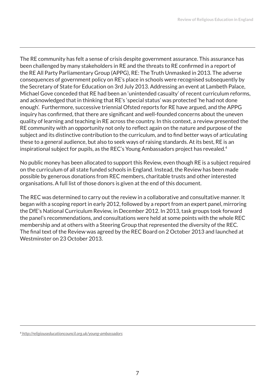The RE community has felt a sense of crisis despite government assurance. This assurance has been challenged by many stakeholders in RE and the threats to RE confirmed in a report of the RE All Party Parliamentary Group (APPG), RE: The Truth Unmasked in 2013. The adverse consequences of government policy on RE's place in schools were recognised subsequently by the Secretary of State for Education on 3rd July 2013. Addressing an event at Lambeth Palace, Michael Gove conceded that RE had been an 'unintended casualty' of recent curriculum reforms, and acknowledged that in thinking that RE's 'special status' was protected 'he had not done enough'. Furthermore, successive triennial Ofsted reports for RE have argued, and the APPG inquiry has confirmed, that there are significant and well-founded concerns about the uneven quality of learning and teaching in RE across the country. In this context, a review presented the RE community with an opportunity not only to reflect again on the nature and purpose of the subject and its distinctive contribution to the curriculum, and to find better ways of articulating these to a general audience, but also to seek ways of raising standards. At its best, RE is an inspirational subject for pupils, as the REC's Young Ambassadors project has revealed.<sup>4</sup>

No public money has been allocated to support this Review, even though RE is a subject required on the curriculum of all state funded schools in England. Instead, the Review has been made possible by generous donations from REC members, charitable trusts and other interested organisations. A full list of those donors is given at the end of this document.

The REC was determined to carry out the review in a collaborative and consultative manner. It began with a scoping report in early 2012, followed by a report from an expert panel, mirroring the DfE's National Curriculum Review, in December 2012. In 2013, task groups took forward the panel's recommendations, and consultations were held at some points with the whole REC membership and at others with a Steering Group that represented the diversity of the REC. The final text of the Review was agreed by the REC Board on 2 October 2013 and launched at Westminster on 23 October 2013.

4 *http://religiouseducationcouncil.org.uk/young-ambassadors*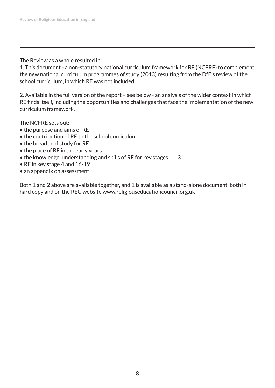The Review as a whole resulted in:

1. This document - a non-statutory national curriculum framework for RE (NCFRE) to complement the new national curriculum programmes of study (2013) resulting from the DfE's review of the school curriculum, in which RE was not included

2. Available in the full version of the report – see below - an analysis of the wider context in which RE finds itself, including the opportunities and challenges that face the implementation of the new curriculum framework.

The NCFRE sets out:

- the purpose and aims of RE
- the contribution of RE to the school curriculum
- the breadth of study for RE
- the place of RE in the early years
- the knowledge, understanding and skills of RE for key stages 1 3
- RE in key stage 4 and 16-19
- an appendix on assessment.

Both 1 and 2 above are available together, and 1 is available as a stand-alone document, both in hard copy and on the REC website www.religiouseducationcouncil.org.uk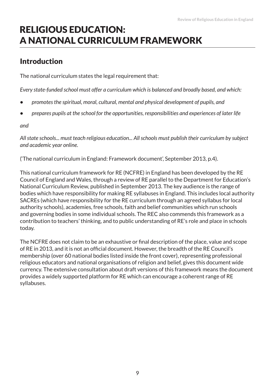# RELIGIOUS EDUCATION: A NATIONAL CURRICULUM FRAMEWORK

## Introduction

The national curriculum states the legal requirement that:

*Every state-funded school must offer a curriculum which is balanced and broadly based, and which:*

- **•** *promotes the spiritual, moral, cultural, mental and physical development of pupils, and*
- **•** *prepares pupils at the school for the opportunities, responsibilities and experiences of later life*

*and*

*All state schools... must teach religious education... All schools must publish their curriculum by subject and academic year online.* 

('The national curriculum in England: Framework document', September 2013, p.4).

This national curriculum framework for RE (NCFRE) in England has been developed by the RE Council of England and Wales, through a review of RE parallel to the Department for Education's National Curriculum Review, published in September 2013. The key audience is the range of bodies which have responsibility for making RE syllabuses in England. This includes local authority SACREs (which have responsibility for the RE curriculum through an agreed syllabus for local authority schools), academies, free schools, faith and belief communities which run schools and governing bodies in some individual schools. The REC also commends this framework as a contribution to teachers' thinking, and to public understanding of RE's role and place in schools today.

The NCFRE does not claim to be an exhaustive or final description of the place, value and scope of RE in 2013, and it is not an official document. However, the breadth of the RE Council's membership (over 60 national bodies listed inside the front cover), representing professional religious educators and national organisations of religion and belief, gives this document wide currency. The extensive consultation about draft versions of this framework means the document provides a widely supported platform for RE which can encourage a coherent range of RE syllabuses.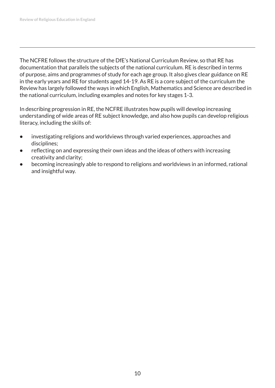The NCFRE follows the structure of the DfE's National Curriculum Review, so that RE has documentation that parallels the subjects of the national curriculum. RE is described in terms of purpose, aims and programmes of study for each age group. It also gives clear guidance on RE in the early years and RE for students aged 14-19. As RE is a core subject of the curriculum the Review has largely followed the ways in which English, Mathematics and Science are described in the national curriculum, including examples and notes for key stages 1-3.

In describing progression in RE, the NCFRE illustrates how pupils will develop increasing understanding of wide areas of RE subject knowledge, and also how pupils can develop religious literacy, including the skills of:

- **•** investigating religions and worldviews through varied experiences, approaches and disciplines;
- **•** reflecting on and expressing their own ideas and the ideas of others with increasing creativity and clarity;
- **•** becoming increasingly able to respond to religions and worldviews in an informed, rational and insightful way.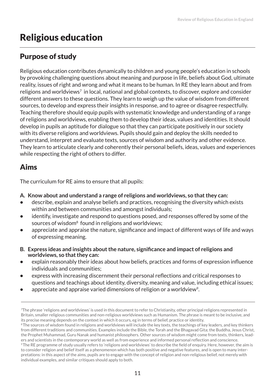# Religious education

### Purpose of study

Religious education contributes dynamically to children and young people's education in schools by provoking challenging questions about meaning and purpose in life, beliefs about God, ultimate reality, issues of right and wrong and what it means to be human. In RE they learn about and from religions and worldviews<sup>7</sup> in local, national and global contexts, to discover, explore and consider different answers to these questions. They learn to weigh up the value of wisdom from different sources, to develop and express their insights in response, and to agree or disagree respectfully. Teaching therefore should equip pupils with systematic knowledge and understanding of a range of religions and worldviews, enabling them to develop their ideas, values and identities. It should develop in pupils an aptitude for dialogue so that they can participate positively in our society with its diverse religions and worldviews. Pupils should gain and deploy the skills needed to understand, interpret and evaluate texts, sources of wisdom and authority and other evidence. They learn to articulate clearly and coherently their personal beliefs, ideas, values and experiences while respecting the right of others to differ.

## Aims

The curriculum for RE aims to ensure that all pupils:

#### **A. Know about and understand a range of religions and worldviews, so that they can:**

- **•** describe, explain and analyse beliefs and practices, recognising the diversity which exists within and between communities and amongst individuals;
- **•** identify, investigate and respond to questions posed, and responses offered by some of the sources of wisdom<sup>8</sup> found in religions and worldviews;
- **•** appreciate and appraise the nature, significance and impact of different ways of life and ways of expressing meaning.
- **B. Express ideas and insights about the nature, significance and impact of religions and worldviews, so that they can:**
- **•** explain reasonably their ideas about how beliefs, practices and forms of expression influence individuals and communities;
- **•** express with increasing discernment their personal reflections and critical responses to questions and teachings about identity, diversity, meaning and value, including ethical issues;
- appreciate and appraise varied dimensions of religion or a worldview<sup>9</sup>.

<sup>7</sup>The phrase 'religions and worldviews' is used in this document to refer to Christianity, other principal religions represented in Britain, smaller religious communities and non-religious worldviews such as Humanism. The phrase is meant to be inclusive, and its precise meaning depends on the context in which it occurs, eg in terms of belief, practice or identity.

<sup>&</sup>lt;sup>8</sup> The sources of wisdom found in religions and worldviews will include the key texts, the teachings of key leaders, and key thinkers from different traditions and communities. Examples include the Bible, the Torah and the Bhagavad Gita; the Buddha, Jesus Christ, the Prophet Muhammad, Guru Nanak and humanist philosophers. Other sources of wisdom might come from texts, thinkers, leaders and scientists in the contemporary world as well as from experience and informed personal reflection and conscience. <sup>9</sup>The RE programme of study usually refers to 'religions and worldviews' to describe the field of enquiry. Here, however, the aim is to consider religion and belief itself as a phenomenon which has both positive and negative features, and is open to many interpretations: in this aspect of the aims, pupils are to engage with the concept of religion and non-religious belief, not merely with individual examples, and similar critiques should apply to both.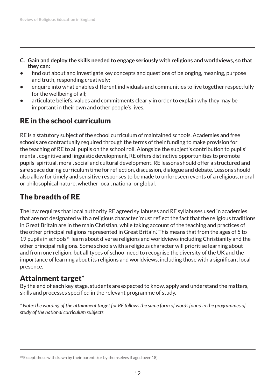- **C. Gain and deploy the skills needed to engage seriously with religions and worldviews, so that they can:**
- **•** find out about and investigate key concepts and questions of belonging, meaning, purpose and truth, responding creatively;
- **•** enquire into what enables different individuals and communities to live together respectfully for the wellbeing of all;
- **•** articulate beliefs, values and commitments clearly in order to explain why they may be important in their own and other people's lives.

## RE in the school curriculum

RE is a statutory subject of the school curriculum of maintained schools. Academies and free schools are contractually required through the terms of their funding to make provision for the teaching of RE to all pupils on the school roll. Alongside the subject's contribution to pupils' mental, cognitive and linguistic development, RE offers distinctive opportunities to promote pupils' spiritual, moral, social and cultural development. RE lessons should offer a structured and safe space during curriculum time for reflection, discussion, dialogue and debate. Lessons should also allow for timely and sensitive responses to be made to unforeseen events of a religious, moral or philosophical nature, whether local, national or global.

## The breadth of RE

The law requires that local authority RE agreed syllabuses and RE syllabuses used in academies that are not designated with a religious character 'must reflect the fact that the religious traditions in Great Britain are in the main Christian, while taking account of the teaching and practices of the other principal religions represented in Great Britain'. This means that from the ages of 5 to 19 pupils in schools<sup>10</sup> learn about diverse religions and worldviews including Christianity and the other principal religions. Some schools with a religious character will prioritise learning about and from one religion, but all types of school need to recognise the diversity of the UK and the importance of learning about its religions and worldviews, including those with a significant local presence.

### Attainment target\*

By the end of each key stage, students are expected to know, apply and understand the matters, skills and processes specified in the relevant programme of study.

*\* Note: the wording of the attainment target for RE follows the same form of words found in the programmes of study of the national curriculum subjects*

 $10$ -Except those withdrawn by their parents (or by themselves if aged over 18).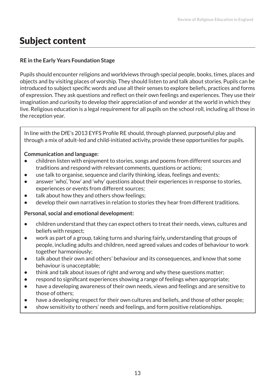# Subject content

#### **RE in the Early Years Foundation Stage**

Pupils should encounter religions and worldviews through special people, books, times, places and objects and by visiting places of worship. They should listen to and talk about stories. Pupils can be introduced to subject specific words and use all their senses to explore beliefs, practices and forms of expression. They ask questions and reflect on their own feelings and experiences. They use their imagination and curiosity to develop their appreciation of and wonder at the world in which they live. Religious education is a legal requirement for all pupils on the school roll, including all those in the reception year.

In line with the DfE's 2013 EYFS Profile RE should, through planned, purposeful play and through a mix of adult-led and child-initiated activity, provide these opportunities for pupils.

#### **Communication and language:**

- **•** children listen with enjoyment to stories, songs and poems from different sources and traditions and respond with relevant comments, questions or actions;
- **•** use talk to organise, sequence and clarify thinking, ideas, feelings and events;
- **•** answer 'who', 'how' and 'why' questions about their experiences in response to stories, experiences or events from different sources;
- talk about how they and others show feelings;
- **•** develop their own narratives in relation to stories they hear from different traditions.

#### **Personal, social and emotional development:**

- **•** children understand that they can expect others to treat their needs, views, cultures and beliefs with respect;
- **•** work as part of a group, taking turns and sharing fairly, understanding that groups of people, including adults and children, need agreed values and codes of behaviour to work together harmoniously;
- **•** talk about their own and others' behaviour and its consequences, and know that some behaviour is unacceptable;
- **•** think and talk about issues of right and wrong and why these questions matter;
- **•** respond to significant experiences showing a range of feelings when appropriate;
- **•** have a developing awareness of their own needs, views and feelings and are sensitive to those of others;
- **•** have a developing respect for their own cultures and beliefs, and those of other people;
- **•** show sensitivity to others' needs and feelings, and form positive relationships.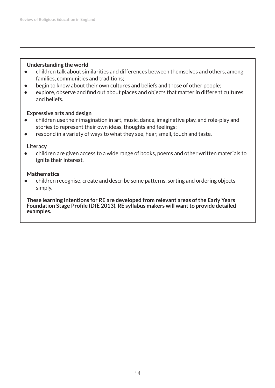#### **Understanding the world**

- **•** children talk about similarities and differences between themselves and others, among families, communities and traditions;
- **•** begin to know about their own cultures and beliefs and those of other people;
- **•** explore, observe and find out about places and objects that matter in different cultures and beliefs.

#### **Expressive arts and design**

- **•** children use their imagination in art, music, dance, imaginative play, and role-play and stories to represent their own ideas, thoughts and feelings;
- **•** respond in a variety of ways to what they see, hear, smell, touch and taste.

#### **Literacy**

**•** children are given access to a wide range of books, poems and other written materials to ignite their interest.

#### **Mathematics**

**•** children recognise, create and describe some patterns, sorting and ordering objects simply.

**These learning intentions for RE are developed from relevant areas of the Early Years Foundation Stage Profile (DfE 2013). RE syllabus makers will want to provide detailed examples.**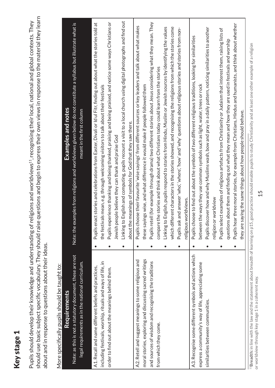# Key stage 1 Key stage 1

should use basic subject specific vocabulary. They should raise questions and begin to express their own views in response to the material they learn should use basic subject specific vocabulary. They should raise questions and begin to express their own views in response to the material they learn Pupils should develop their knowledge and understanding of religions and worldviews11, recognising their local, national and global contexts. They Pupils should develop their knowledge and understanding of religions and worldviews<sup>11</sup>, recognising their local, national and global contexts. They about and in response to questions about their ideas. about and in response to questions about their ideas.

# More specifically pupils should be taught to: More specifically pupils should be taught to:

| יוטו כ אפכרוווכפווץ פטוקווא אווטעות על נפט                 |                                                                 |                                                                                                                   |
|------------------------------------------------------------|-----------------------------------------------------------------|-------------------------------------------------------------------------------------------------------------------|
| Requirements                                               |                                                                 | Examples and notes                                                                                                |
| Note: as this is not a statutory document, these are not   |                                                                 | Note: the examples from religions and worldviews given below do not constitute a syllabus but illustrate what is  |
| legal requirements as in the national curriculum.          |                                                                 | meant in the first column                                                                                         |
|                                                            |                                                                 |                                                                                                                   |
| A1. Recall and name different beliefs and practices,       | Pupils e                                                        | nact stories and celebrations from Easter, Divali or Id ul Fitr, finding out about what the stories told at       |
| including festivals, worship, rituals and ways of life, in |                                                                 | the festivals mean, e.g. through welcoming visitors to talk about their festivals                                 |
| order to find out about the meanings behind them.          |                                                                 | Pupils experience thanking and being thanked, praising and being praised, and notice some ways Christians or      |
|                                                            | Jewish people believe they can thank and praise God             |                                                                                                                   |
|                                                            |                                                                 | Linking to English and computing, pupils recount a visit to a local church using digital photographs and find out |
|                                                            | about the meanings of symbols for God that they saw there.      |                                                                                                                   |
| A2. Retell and suggest meanings to some religious and      |                                                                 | Pupils choose their favourite 'wise sayings' from different sources or key leaders and talk about what makes      |
| moral stories, exploring and discussing sacred writings    |                                                                 | these sayings wise, and what difference it would make if people followed them                                     |
| and sources of wisdom and recognising the traditions       |                                                                 | Pupils retell (for example through drama) two different stories about Jesus considering what they mean. They      |
| from which they come.                                      |                                                                 | compare the stories and think about what Christians today could learn from the stories                            |
|                                                            |                                                                 | Linking to English, pupils respond to stories from Hindu, Muslim or Jewish sources by identifying the values      |
|                                                            |                                                                 | which different characters in the stories showed, and recognising the religions from which the stories come       |
|                                                            |                                                                 | Pupils ask and answer 'who', 'where', 'how' and 'why' questions about religious stories and stories from non-     |
|                                                            | religious worldviews.                                           |                                                                                                                   |
| A3. Recognise some different symbols and actions which     |                                                                 | Pupils choose to find out about the symbols of two different religious traditions, looking for similarities       |
| express a community's way of life, appreciating some       |                                                                 | between the ways they use common symbols such as light, water, trees or rock                                      |
| similarities between communities.                          |                                                                 | Pupils discover how and why Muslims wash, bow and pray in a daily pattern, noticing similarities to another       |
|                                                            | or worldview<br>religion                                        |                                                                                                                   |
|                                                            |                                                                 | Pupils select examples of religious artefacts from Christianity or Judaism that interest them, raising lists of   |
|                                                            |                                                                 | questions about them and finding out what they mean and how they are used in festivals and worship                |
|                                                            |                                                                 | Pupils hear three moral stories, for example from Christians, Hindus and humanists, and think about whether       |
|                                                            | they are saying the same things about how people should behave. |                                                                                                                   |
|                                                            |                                                                 |                                                                                                                   |

<sup>11</sup>Breadth: in line with the law and the statement about breadth of learning on p15, good practice should enable pupils to study Christianity and at least one other example of a religion 11**Breadth:** in line with the law and the statement about breadth of learning on p15, good practice should enable pupils to study Christianity and at least one other example of a religion or worldview through key stage 1 in a coherent way. or worldview through key stage 1 in a coherent way.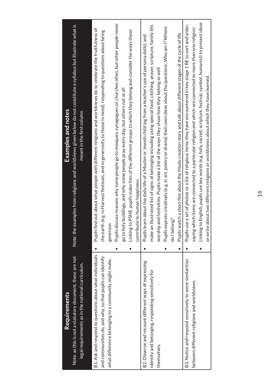| Requirements                                             | Examples and notes                                                                                                          |  |
|----------------------------------------------------------|-----------------------------------------------------------------------------------------------------------------------------|--|
| Note: as this is not a statutory document, these are not | examples from religions and worldviews given below do not constitute a syllabus but illustrate what is<br>Note: the         |  |
| legal requirements as in the national curriculum.        | meant in the first column                                                                                                   |  |
| B1. Ask and respond to questions about what individuals  | Pupils find out about what people with different religions and worldviews do to celebrate the fruitfulness of               |  |
| and communities do, and why, so that pupils can identify | the earth (e.g. in Harvest festivals, and in generosity to those in need), responding to questions about being              |  |
| what difference belonging to a community might make.     | generou                                                                                                                     |  |
|                                                          | Pupils discuss reasons why some people go to mosques, synagogues or churches often, but other people never                  |  |
|                                                          | go to holy buildings, and why some people pray every day, but others not at all                                             |  |
|                                                          | Linking to PSHE, pupils make lists of the different groups to which they belong and consider the ways these                 |  |
|                                                          | contribute to human happiness.                                                                                              |  |
| B2. Observe and recount different ways of expressing     | Pupils learn about the daily life of a Muslim or Jewish child (eg from a teacher's use of persona dolls), and               |  |
| identity and belonging, responding sensitively for       | make an illustrated list of signs of belonging including using special food, clothing, prayer, scripture, family life,      |  |
| themselves.                                              | and festivities. Pupils make a list of the ways they show how they belong as well<br>worship                                |  |
|                                                          | Pupils express creatively (e.g. in art, poetry or drama) their own ideas about the questions: Who am I? Where               |  |
|                                                          | do I belong?                                                                                                                |  |
|                                                          | Pupils watch a short film about the Hindu creation story and talk about different stages of the cycle of life.<br>$\bullet$ |  |
| B3. Notice and respond sensitively to some similarities  | Pupils use a set of photos or a list of religious items they have encountered in key stage 1 RE to sort and order,          |  |
| between different religions and worldviews.              | saying which items are connected to a particular religion and which are connected to more than one religion                 |  |
|                                                          | Linking to English, pupils use key words (e.g. holy, sacred, scripture, festival, symbol, humanist) to present ideas        |  |
|                                                          | or write about two different religions or worldviews about which they have learned.                                         |  |
|                                                          |                                                                                                                             |  |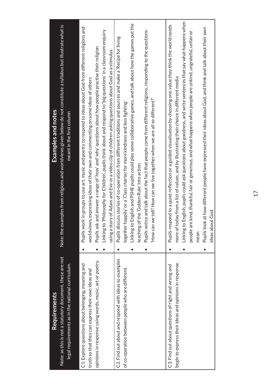| Requirements                                             | <b>Examples and notes</b>                                                                                           |
|----------------------------------------------------------|---------------------------------------------------------------------------------------------------------------------|
| Note: as this is not a statutory document, these are not | examples from religions and worldviews given below do not constitute a syllabus but illustrate what is<br>Note: the |
| legal requirements as in the national curriculum.        | meant in the first column                                                                                           |
| C1. Explore questions about belonging, meaning and       | Pupils work in groups to use art, music and poetry to respond to ideas about God from different religions and       |
| truth so that they can express their own ideas and       | worldviews, expressing ideas of their own and commenting on some ideas of others                                    |
| opinions in response using words, music, art or poetry.  | Pupils ask and answer a range of 'how' and 'why' questions about how people practise their religion                 |
|                                                          | Linking to 'Philosophy for Children', pupils think about and respond to 'big questions' in a classroom enquiry      |
|                                                          | using a story of Adam and Eve or a video clip of children asking questions about God as a stimulus.                 |
| C2. Find out about and respond with ideas to examples    | iscuss stories of co-operation from different traditions and sources and make a 'Recipe for living<br>Pupils d      |
| of co-operation between people who are different.        | together happily' or a 'Class charter for more kindness and less fighting'                                          |
|                                                          | Linking to English and PSHE pupils could play some collaborative games, and talk about how the games put the        |
|                                                          | teaching of the 'Golden Rule' into action                                                                           |
|                                                          | Pupils notice and talk about the fact that people come from different religions, responding to the questions-       |
|                                                          | 'How can we tell? How can we live together when we are all so different?'                                           |
|                                                          |                                                                                                                     |
| C3. Find out about questions of right and wrong and      | Pupils respond to a quiet reflection or a guided visualisation by choosing one value they think the world needs     |
| begin to express their ideas and opinions in response.   | more of today from a list of values, and by illustrating their choice in different media                            |
|                                                          | Linking to English, pupils could ask questions about goodness, and write sentences that say what happens when       |
|                                                          | people are kind, thankful, fair or generous, and what happens when people are unkind, ungrateful, unfair or         |
|                                                          | mean                                                                                                                |
|                                                          | Pupils look at how different people have expressed their ideas about God, and think and talk about their own        |
|                                                          | ideas about God.                                                                                                    |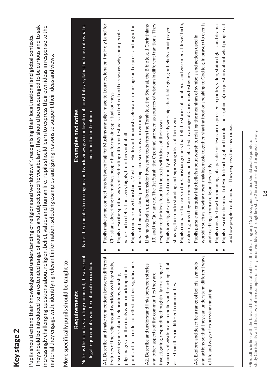# Key stage 2 Key stage 2

They should be introduced to an extended range of sources and subject specific vocabulary. They should be encouraged to be curious and to ask They should be introduced to an extended range of sources and subject specific vocabulary. They should be encouraged to be curious and to ask increasingly challenging questions about religion, belief, values and human life. Pupils should learn to express their own ideas in response to the increasingly challenging questions about religion, belief, values and human life. Pupils should learn to express their own ideas in response to the Pupils should extend their knowledge and understanding of religions and worldviews12, recognising their local, national and global contexts. Pupils should extend their knowledge and understanding of religions and worldviews<sup>12</sup>, recognising their local, national and global contexts. material they engage with, identifying relevant information, selecting examples and giving reasons to support their ideas and views. material they engage with, identifying relevant information, selecting examples and giving reasons to support their ideas and views.

# More specifically pupils should be taught to: **More specifically pupils should be taught to:**

| <b>Requirements</b>                                        |                                                                              | Examples and notes                                                                                                 |
|------------------------------------------------------------|------------------------------------------------------------------------------|--------------------------------------------------------------------------------------------------------------------|
| Note: as this is not a statutory document, these are not   | Note: the e                                                                  | xamples from religions and worldviews given below do not constitute a syllabus but illustrate what is              |
| legal requirements as in the national curriculum.          |                                                                              | meant in the first column                                                                                          |
| A1. Describe and make connections between different        |                                                                              | Pupils make some connections between Hajj for Muslims and pilgrimage to Lourdes, Iona or 'the Holy Land' for       |
| features of the religions and worldviews they study,       | Christians, describing the motives people have for making spiritual journeys |                                                                                                                    |
| discovering more about celebrations, worship,              |                                                                              | Pupils describe spiritual ways of celebrating different festivals, and reflect on the reasons why some people      |
| pilgrimages and the rituals which mark important           | value such celebrations very highly, but others not at all                   |                                                                                                                    |
| points in life, in order to reflect on their significance. |                                                                              | Pupils compare how Christians, Muslims, Hindus or humanists celebrate a marriage and express and argue for         |
|                                                            | ideas of their own about partnership, in discussions or in writing.          |                                                                                                                    |
| A2. Describe and understand links between stories          |                                                                              | Linking to English, pupils consider how some texts from the Torah (e.g. the Shema), the Bible (e.g. 1 Corinthians  |
| and other aspects of the communities they are              |                                                                              | 13) and the Qur'an (e.g. The 1st Surah, the Opening) are seen as sources of wisdom in different traditions. They   |
| investigating, responding thoughtfully to a range of       | o the ideas found in the texts with ideas of their own<br>respond t          |                                                                                                                    |
| sources of wisdom and to beliefs and teachings that        | Pupils inv                                                                   | estigate aspects of community life such as weekly worship, charitable giving or beliefs about prayer,              |
| arise from them in different communities.                  | showing their understanding and expressing ideas of their own                |                                                                                                                    |
|                                                            |                                                                              | Pupils compare the texts in the Christian gospels that tell the stories of shepherds and wise men at Jesus' birth, |
|                                                            |                                                                              | exploring how they are remembered and celebrated in a range of Christmas festivities.                              |
| A3. Explore and describe a range of beliefs, symbols       |                                                                              | Pupils pursue an enquiry into beliefs about worship, relating the meanings of symbols and actions used in          |
| and actions so that they can understand different ways     |                                                                              | worship such as bowing down, making music together, sharing food or speaking to God (e.g. in prayer) to events     |
| of life and ways of expressing meaning.                    | and teachings from a religion they study                                     |                                                                                                                    |
|                                                            |                                                                              | Pupils consider how the meanings of a parable of Jesus are expressed in poetry, video, stained glass and drama.    |
|                                                            |                                                                              | Pupils describe the impact of Hindu teaching about harmlessness (ahimsa) on questions about what people eat        |
|                                                            | and how people treat animals. They express their own ideas.                  |                                                                                                                    |
|                                                            |                                                                              |                                                                                                                    |

study Christianity and at least two other examples of a religion or worldview through key stage 2 in a coherent and progresssive way. study Christianity and at least two other examples of a religion or worldview through key stage 2 in a coherent and progresssive way. <sup>22</sup>Breadth: in line with the law and the statement about breadth of learning on p15 above, good practice should enable pupils to 12**Breadth:** in line with the law and the statement about breadth of learning on p15 above, good practice should enable pupils to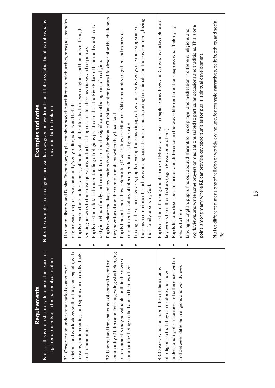| <b>Requirements</b>                                                                                                                                                                                                                                                                                                                                                                                               | <b>Examples and notes</b>                                                                                                                                                                                                                                                                                                                                                                                                                                                                                                                                                                                                                                                                                                                                                                                                                                                                                                                                                                                                                                                                                                      |
|-------------------------------------------------------------------------------------------------------------------------------------------------------------------------------------------------------------------------------------------------------------------------------------------------------------------------------------------------------------------------------------------------------------------|--------------------------------------------------------------------------------------------------------------------------------------------------------------------------------------------------------------------------------------------------------------------------------------------------------------------------------------------------------------------------------------------------------------------------------------------------------------------------------------------------------------------------------------------------------------------------------------------------------------------------------------------------------------------------------------------------------------------------------------------------------------------------------------------------------------------------------------------------------------------------------------------------------------------------------------------------------------------------------------------------------------------------------------------------------------------------------------------------------------------------------|
| Note: as this is not a statutory document, these are not<br>legal requirements as in the national curriculum.                                                                                                                                                                                                                                                                                                     | Note: the examples from religions and worldviews given below do not constitute a syllabus but illustrate what is<br>meant in the first column                                                                                                                                                                                                                                                                                                                                                                                                                                                                                                                                                                                                                                                                                                                                                                                                                                                                                                                                                                                  |
| religions and worldviews so that they can explain, with<br>community of faith or belief, suggesting why belonging<br>reasons, their meanings and significance to individuals<br>to a community may be valuable, both in the diverse<br>B2. Understand the challenges of commitment to a<br>communities being studied and in their own lives.<br>B1. Observe and understand varied examples of<br>and communities. | Pupils explore the lives of key leaders from Buddhist and Christian contemporary life, describing the challenges<br>History and Design Technology pupils consider how the architecture of churches, mosques, mandirs<br>Pupils use their detailed understanding of religious practice such as the Five Pillars of Islam and worship of a<br>Linking to the expressive arts, pupils develop their own imaginative and creative ways of expressing some of<br>elop their understanding of beliefs about life after death in two religions and humanism through<br>Pupils find out about how celebrating Divali brings the Hindu or Sikh community together, and expresses<br>iswers to their own questions and articulating reasons for their own ideas and responses<br>Hindu family and a mandir to describe the significance of being part of a religion.<br>iras expresses a community's way of life, values and beliefs<br>faced and the commitments by which they have lived<br>commitment to values of interdependence and generosity<br>Linking to<br>or gurdwa<br>Pupils dev<br>seeking ar<br>deity in a l<br>they have |
| understanding of similarities and differences within<br>and between different religions and worldviews.<br>B3. Observe and consider different dimensions<br>of religion, so that they can explore and show                                                                                                                                                                                                        | commitments such as working hard at sport or music, caring for animals and the environment, loving<br>their thinking about stories of Moses and Jesus to explore how Jews and Christians today celebrate<br>Note: different dimensions of religion or worldview include, for example, narratives, beliefs, ethics, and social<br>worldviews, and write some prayers or meditations suited to particular occasions and traditions. This is one<br>and describe similarities and differences in the ways different traditions express what 'belonging'<br>English, pupils find out about different forms of prayer and meditation in different religions and<br>point, among many, where RE can provide key opportunities for pupils' spiritual development.<br>key events from their history (e.g. in Passover and Lent)<br>their family or serving God.<br>means to them<br>their own<br>Pupils use<br>Pupils list<br>Linking to<br>life                                                                                                                                                                                       |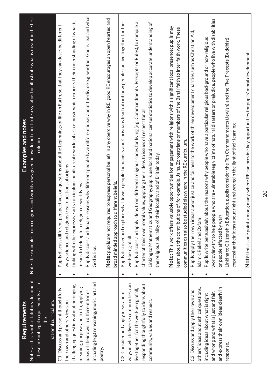| Requirements                               | Examples and notes                                                                                                                         |
|--------------------------------------------|--------------------------------------------------------------------------------------------------------------------------------------------|
| Note: as this is not a statutory document, | Note: the examples from religions and worldviews given below do not constitute a syllabus but illustrate what is meant in the first        |
| these are not legal requirements as in     | column                                                                                                                                     |
| the                                        |                                                                                                                                            |
| national curriculum.                       |                                                                                                                                            |
| C1. Discuss and present thoughtfully       | Pupils discuss different perspectives on questions about the beginnings of life on Earth, so that they can describe different<br>$\bullet$ |
| their own and others' views on             | s treat questions of origins<br>ways science and religion                                                                                  |
| challenging questions about belonging,     | Linking with the expressive arts curriculum, pupils create works of art or music which express their understanding of what it              |
| meaning, purpose and truth, applying       | means to belong to a religion or worldview                                                                                                 |
| ideas of their own in different forms      | Pupils discuss and debate reasons why different people have different ideas about the divine e.g. whether God is real and what             |
| including (e.g.) reasoning, music, art and | God is like.                                                                                                                               |
| poetry.                                    |                                                                                                                                            |
|                                            | Note: pupils are not required to express personal beliefs in any coercive way in RE; good RE encourages an open hearted and                |
|                                            | broad minded approach to different beliefs.                                                                                                |
| C2. Consider and apply ideas about         | Pupils discover and explore what Jewish people, humanists and Christians teach about how people can live together for the                  |
| ways in which diverse communities can      | well-being of all                                                                                                                          |
| live together for the well-being of all,   | Pupils discuss and apply ideas from different religious codes for living (e.g. Commandments, Precepts or Rules), to compile a              |
| responding thoughtfully to ideas about     | charter of their own moral values, applying their ideas to issues of respect for all                                                       |
| community, values and respect.             | Linking to Mathematics and Geography, pupils use local and national census statistics to develop accurate understanding of                 |
|                                            | the religious plurality of their locality and of Britain today.                                                                            |
|                                            | aluable opportunities for engagement with religions with a significant local presence: pupils may<br>Note: This work offers v              |
|                                            | learn about the contributions of, for example, Jains, Zoroastrians or members of the Bahá'í faith to inter faith work. These               |
|                                            | communities can also be studied elsewhere in the RE curriculum.                                                                            |
| C3. Discuss and apply their own and        | Pupils apply their own ideas about justice and fairness to the work of three development charities such as Christian Aid,<br>$\bullet$     |
| others' ideas about ethical questions,     | Islamic Relief and Oxfam                                                                                                                   |
| including ideas about what is right        | about the reasons why people who have a particular religious background or non-religious<br>Pupils write persuasively                      |
| and wrong and what is just and fair,       | worldview try to help people who are vulnerable (eg victims of natural disasters or prejudice, people who live with disabilities           |
| and express their own ideas clearly in     | or people affected by war                                                                                                                  |
| response.                                  | Linking to Citizenship Education, pupils consider the Ten Commandments (Jewish) and the Five Precepts (Buddhist),<br>$\bullet$             |
|                                            | expressing their ideas about right and wrong in the light of their learning.                                                               |
|                                            |                                                                                                                                            |
|                                            | Note: this is one point, among many, where RE can provide key opportunities for pupils' moral development.                                 |

20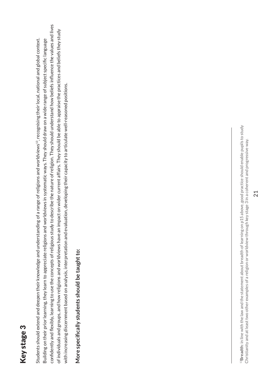# Key stage 3 Key stage 3

confidently and flexibly, learning to use the concepts of religious study to describe the nature of religion. They should understand how beliefs influence the values and lives confidently and flexibly, learning to use the concepts of religious study to describe the nature of religion. They should understand how beliefs influence the values and lives of individuals and groups, and how religions and worldviews have an impact on wider current affairs. They should be able to appraise the practices and beliefs they study of individuals and groups, and how religions and worldviews have an impact on wider current affairs. They should be able to appraise the practices and beliefs they study 13, recognising their local, national and global context. Students should extend and deepen their knowledge and understanding of a range of religions and worldviews<sup>13</sup>, recognising their local, national and global context. Building on their prior learning, they learn to appreciate religions and worldviews in systematic ways. They should draw on a wide range of subject specific language Building on their prior learning, they learn to appreciate religions and worldviews in systematic ways. They should draw on a wide range of subject specific language with increasing discernment based on analysis, interpretation and evaluation, developing their capacity to articulate well-reasoned positions. with increasing discernment based on analysis, interpretation and evaluation, developing their capacity to articulate well-reasoned positions. Students should extend and deepen their knowledge and understanding of a range of religions and worldviews

# More specifically students should be taught to: **More specifically students should be taught to:**

13**Breadth:** in line with the law and the statement about breadth of learning on p15 above, good practice should enable pupils to study <sup>19</sup>Breadth: in line with the law and the statement about breadth of learning on p15 above, good practice should enable pupils to study Christianity and at least two other examples of a religion or worldview through key stage 3 in a coherent and progressive way. Christianity and at least two other examples of a religion or worldview through key stage 3 in a coherent and progressive way.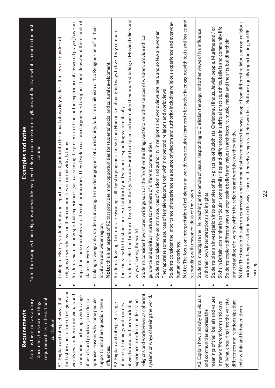| Requirements                             |                                           | Examples and notes                                                                                                                    |
|------------------------------------------|-------------------------------------------|---------------------------------------------------------------------------------------------------------------------------------------|
| Note: as this is not a statutory         |                                           | Note: the examples from religions and worldviews given below do not constitute a syllabus but illustrate what is meant in the first   |
| document, these are not legal            |                                           | column                                                                                                                                |
| requirements as in the national          |                                           |                                                                                                                                       |
| curriculum.                              |                                           |                                                                                                                                       |
| A1. Explain and interpret ways that      | Linking to History, students<br>$\bullet$ | plan and report on an investigation into the impact of two key leaders, thinkers or founders of                                       |
| the history and culture of religions and |                                           | religions or worldviews on their communities or on individuals today                                                                  |
| worldviews influence individuals and     |                                           | Students examine how spiritual experiences (such as sensing the presence of God, or the experience of answered prayer) have an        |
| communities, including a wide range      | impact on some members of                 | different communities. They develop reasoned arguments to support their ideas about these kinds of                                    |
| of beliefs and practices, in order to    | claims or events                          |                                                                                                                                       |
| appraise reasons why some people         | $\bullet$                                 | Linking to Geography, students investigate the demographics of Christianity, Judaism or Sikhism or 'No Religious belief' in their     |
| support and others question these        | ocal area and wider region.               |                                                                                                                                       |
| influences.                              |                                           | Note: this is an aspect of RE that provides many opportunities for students' social and cultural development.                         |
| A2. Explain and interpret a range        |                                           | Students develop their moral reasoning skills by studying moral ideas from Humanism about good ways to live. They compare             |
| of beliefs, teachings and sources        |                                           | these ideas with Christian sources of authority and wisdom, responding systematically                                                 |
| of wisdom and authority including        | $\bullet$                                 | Students select and interpret texts from the Qur'an and Hadith to explain and exemplify their understanding of Muslim beliefs and     |
| experience in order to understand        | ways of seeing the world                  |                                                                                                                                       |
| religions and worldviews as coherent     |                                           | Students consider how sacred writings such as the Torah or the Bhagavad Gita, or other sources of wisdom, provide ethical             |
| systems or ways of seeing the world.     |                                           | guidance and spiritual nurture to members of different communities                                                                    |
|                                          |                                           | Students consider why so many sources of wisdom and authority in religions and worldviews are men, and so few are women.              |
|                                          | They appraise some sources                | of female wisdom, from within or beyond religions and worldviews                                                                      |
|                                          |                                           | Students consider the importance of experience as a source of wisdom and authority including religious experience and everyday        |
|                                          | human experience.                         |                                                                                                                                       |
|                                          |                                           | Note: The focus on interpretation of religions and worldviews requires learners to be active in engaging with texts and issues and    |
|                                          |                                           | responding with reasoned ideas of their own.                                                                                          |
| A3. Explain how and why individuals      | $\bullet$                                 | Students investigate the life, teaching and example of Jesus, responding to Christian theology and other views of his influence       |
| and communities express the              |                                           | with their own interpretations and insights                                                                                           |
| meanings of their beliefs and values     |                                           | Students plan an investigation into examples of daily practice of Buddhists, Christians, Hindus, Jewish people, Muslims and / or      |
| in many different forms and ways         |                                           | Sikhs in Britain, examining in particular some similarities and differences in spiritual practice, ethics, beliefs and community life |
| of living, enquiring into the variety,   |                                           | Students explore different ways of expressing beliefs and values in architecture, music, media and the arts, building their           |
| differences and relationships that       |                                           | understanding of diversity within the religions and worldviews they study                                                             |
| exist within and between them.           |                                           | Note: The focus in this aim on expression and communication connects the ways people from different religious or non-religious        |
|                                          |                                           | backgrounds express their ideas to the ways learners themselves express their own ideas. Both are equally important in good RE        |
|                                          | learning.                                 |                                                                                                                                       |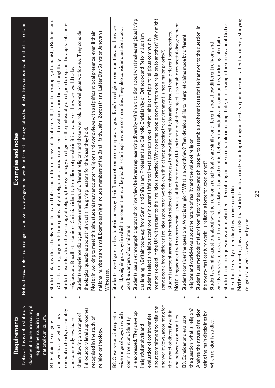| Requirements                     |           | Examples and notes                                                                                                                               |
|----------------------------------|-----------|--------------------------------------------------------------------------------------------------------------------------------------------------|
| Note: as this is not a statutory |           | Note: the examples from religions and worldviews given below do not constitute a syllabus but illustrate what is meant in the first column       |
| document, these are not legal    |           |                                                                                                                                                  |
| requirements as in the           |           |                                                                                                                                                  |
| national curriculum.             |           |                                                                                                                                                  |
| B1. Explain the religions        | $\bullet$ | illustrated talk about different views of life after death, from, for example, a humanist, a Buddhist and<br>Students plan, write and deliver an |
| and worldviews which they        |           | a Christian, using arguments from philosophy of religion and human experience to evaluate varied ideas thoughtfully                              |
| encounter clearly, reasonably    |           | Students use ideas from the sociology of religion, the psychology of religion or the philosophy of religion to explain the appeal of a non-      |
| and coherently; evaluate         |           | religious or a Buddhist, Islamic or Christian identity to millions of people in Britain and / or the wider world today                           |
| them, drawing on a range of      |           | Students experience dialogue between members of different religions and those who hold a non-religious worldview. They consider                  |
| introductory level approaches    |           | hat arise, giving reasons for the ideas they hold<br>theological questions about truth t                                                         |
| recognised in the study of       |           | students may encounter religions and worldviews with a significant local presence, even if their<br>Note: in working to meet this aim,           |
| religion or theology.            |           | national numbers are small. Examples might include members of the Bahá'í faith, Jains, Zoroastrians, Latter Day Saints or Jehovah's              |
|                                  |           | Witnesses.                                                                                                                                       |
| B2. Observe and interpret a      | $\bullet$ | n an essay the influence of some contemporary 'great lives' on religious communities and the wider<br>Students investigate and evaluate i        |
| wide range of ways in which      |           | world, weighing up ways in which the commitment of key leaders can inspire whole communities. They also consider questions about                 |
| commitment and identity          |           | possible dangers of commitment                                                                                                                   |
| are expressed. They develop      |           | Students use an ethnographic approach to interview believers representing diversity within a tradition about what makes religious living         |
| insightful analysis and          |           | challenging in Britain today e.g. from Sunni and Shi'a Islam, Protestant and Catholic Christianity or Orthodox and Reform Judaism.               |
| evaluation of controversies      |           | Students select a religious controversy in current affairs to investigate (examples: What rights can migrant religious community                 |
| about commitment to religions    |           | members expect in the UK with regard to their religious practice? Why do some people convert from one religion to another? Why might             |
| and worldviews, accounting for   |           | some people from different religious groups or worldviews think that protecting the environment is not a major priority?                         |
| the impact of diversity within   |           | Students present arguments from both sides of the controversy to show their ability to analyse issues from different perspectives.               |
| and between communities.         |           | Note: Engagement with controversial issues is at the heart of good RE and one aim of the subject is to enable respectful disagreement.           |
| B3. Consider and evaluate        | $\bullet$ | Students consider the questions: What is religion? What is a worldview? They develop skills to interpret claims made by different                |
| the question: what is religion?  |           | religions and worldviews about the nature of reality and the value of religion                                                                   |
| Analyse the nature of religion   |           | Students use methods of study from history, theology and philosophy to assemble a coherent case for their answer to the question: In             |
| using the main disciplines by    |           | the twenty first century world, is religion a force for good, or not?                                                                            |
| which religion is studied.       |           | Students examine questions about whether religion and spirituality are similar or different, about how different religions and                   |
|                                  |           | d about collaboration and conflict between individuals and communities, including inter faith<br>worldviews relate to each other an              |
|                                  |           | whether different religions are compatible or incompatible, in for example their ideas about God or<br>Students consider questions about         |
|                                  |           | the ultimate reality or deciding how to live a good life.                                                                                        |
|                                  |           | Note: it is in meeting this aim of RE that students build an understanding of religion itself as a phenomenon, rather than merely studying       |
|                                  |           | religions and worldviews one by one.                                                                                                             |

23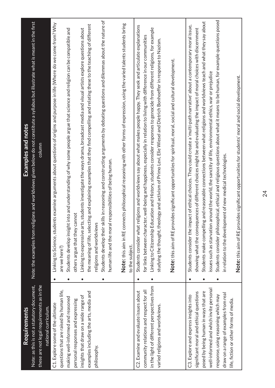| Requirements                                | Examples and notes                                                                                                                        |
|---------------------------------------------|-------------------------------------------------------------------------------------------------------------------------------------------|
| Note: as this is not a statutory document,  | igions and worldviews given below do not constitute a syllabus but illustrate what is meant in the first<br>Note: the examples from rel   |
| these are not legal requirements as in the  | column                                                                                                                                    |
| national curriculum.                        |                                                                                                                                           |
| C1. Explore some of the ultimate            | Linking to Science, students examine arguments about questions of origins and purpose in life (Where do we come from? Why                 |
| questions that are raised by human life,    | are we here?)                                                                                                                             |
| making well-informed and reasoned           | into and understanding of why some people argue that science and religion can be compatible and<br>Students develop insight<br>$\bullet$  |
| personal responses and expressing           | others argue that they cannot                                                                                                             |
| insights that draw on a wide range of       | Linking to expressive arts, students investigate the ways drama, broadcast media and visual artists explore questions about               |
| examples including the arts, media and      | the meaning of life, selecting and explaining examples that they find compelling and relating these to the teaching of different          |
| philosophy.                                 | religions and worldviews                                                                                                                  |
|                                             | Students develop their skills in reasoning and constructing arguments by debating questions and dilemmas about the nature of<br>$\bullet$ |
|                                             | responsibilities of being human.<br>human life and the moral                                                                              |
|                                             | Note: this aim in RE con                                                                                                                  |
|                                             | nects philosophical reasoning with other forms of expression, using the varied talents students bring<br>to the subject.                  |
|                                             |                                                                                                                                           |
| C2. Examine and evaluate issues about       | eligions and worldviews say about what makes people happy. They seek and articulate explanations<br>Students consider what r              |
| community relations and respect for all     | for links between character, well-being and happiness, especially in relation to living with difference in our communities                |
| in the light of different perspectives from | Linking to Citizenship Education and History, students consider responses to genocide from different religions, for example               |
| varied religions and worldviews.            | studying the thought, theology and activism of Primo Levi, Elie Wiesel and Dietrich Bonhoeffer in response to Nazism.                     |
|                                             | Note: this aim of RE provides significant opportunities for spiritual, moral, social and cultural development.                            |
|                                             |                                                                                                                                           |
| C3. Explore and express insights into       | pact of ethical choices. They could create a 'multi-path narrative' about a contemporary moral issue,<br>Students consider the im         |
| significant moral and ethical questions     | showing what the consequences of different choices might be and evaluating the impact of moral choices with discernment                   |
| posed by being human in ways that are       | ig and reasonable connections between what religions and worldviews teach and what they say about<br>Students make compellin              |
| well-informed and which invite personal     | around the world, the sanctity of life, environmental ethics, war or prejudice<br>issues such as starvation                               |
| response, using reasoning which may         | Students consider philosophical, ethical and religious questions about what it means to be human, for example questions posed             |
| draw on a range of examples from real       | in relation to the development of new medical technologies.                                                                               |
| life, fiction or other forms of media.      |                                                                                                                                           |
|                                             | Note: this aim of RE provides significant opportunities for students' moral and social development.                                       |
|                                             |                                                                                                                                           |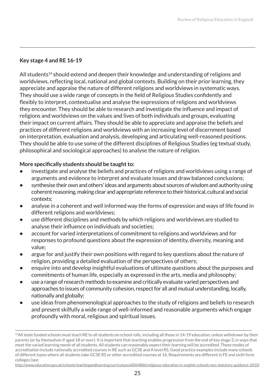#### **Key stage 4 and RE 16-19**

All students<sup>14</sup> should extend and deepen their knowledge and understanding of religions and worldviews, reflecting local, national and global contexts. Building on their prior learning, they appreciate and appraise the nature of different religions and worldviews in systematic ways. They should use a wide range of concepts in the field of Religious Studies confidently and flexibly to interpret, contextualise and analyse the expressions of religions and worldviews they encounter. They should be able to research and investigate the influence and impact of religions and worldviews on the values and lives of both individuals and groups, evaluating their impact on current affairs. They should be able to appreciate and appraise the beliefs and practices of different religions and worldviews with an increasing level of discernment based on interpretation, evaluation and analysis, developing and articulating well-reasoned positions. They should be able to use some of the different disciplines of Religious Studies (eg textual study, philosophical and sociological approaches) to analyse the nature of religion.

#### **More specifically students should be taught to:**

- **•** investigate and analyse the beliefs and practices of religions and worldviews using a range of arguments and evidence to interpret and evaluate issues and draw balanced conclusions;
- **•** synthesise their own and others' ideas and arguments about sources of wisdom and authority using coherent reasoning, making clear and appropriate reference to their historical, cultural and social contexts;
- **•** analyse in a coherent and well informed way the forms of expression and ways of life found in different religions and worldviews;
- **•** use different disciplines and methods by which religions and worldviews are studied to analyse their influence on individuals and societies;
- **•** account for varied interpretations of commitment to religions and worldviews and for responses to profound questions about the expression of identity, diversity, meaning and value;
- **•** argue for and justify their own positions with regard to key questions about the nature of religion, providing a detailed evaluation of the perspectives of others;
- **•** enquire into and develop insightful evaluations of ultimate questions about the purposes and commitments of human life, especially as expressed in the arts, media and philosophy;
- **•** use a range of research methods to examine and critically evaluate varied perspectives and approaches to issues of community cohesion, respect for all and mutual understanding, locally, nationally and globally;
- **•** use ideas from phenomenological approaches to the study of religions and beliefs to research and present skilfully a wide range of well-informed and reasonable arguments which engage profoundly with moral, religious and spiritual issues.

http://www.education.gov.uk/schools/teachingandlearning/curriculum/a0064886/religious-education-in-english-schools-non-statutory-guidance-2010)

<sup>14</sup>All state funded schools must teach RE to all students on school rolls, including all those in 14-19 education, unless withdrawn by their parents (or by themselves if aged 18 or over). It is important that teaching enables progression from the end of key stage 3, in ways that meet the varied learning needs of all students. All students can reasonably expect their learning will be accredited. These modes of accreditation include nationally accredited courses in RE such as GCSE and A level RS. Good practice examples include many schools of different types where all students take GCSE RS or other accredited courses at 16. Requirements are different in FE and sixth form colleges (see: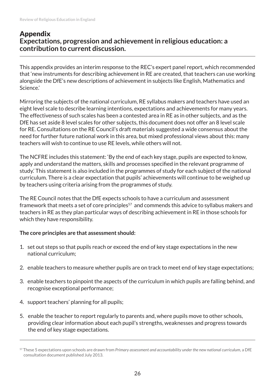#### Appendix **Expectations, progression and achievement in religious education: a contribution to current discussion.**

This appendix provides an interim response to the REC's expert panel report, which recommended that 'new instruments for describing achievement in RE are created, that teachers can use working alongside the DfE's new descriptions of achievement in subjects like English, Mathematics and Science.'

Mirroring the subjects of the national curriculum, RE syllabus makers and teachers have used an eight level scale to describe learning intentions, expectations and achievements for many years. The effectiveness of such scales has been a contested area in RE as in other subjects, and as the DfE has set aside 8 level scales for other subjects, this document does not offer an 8 level scale for RE. Consultations on the RE Council's draft materials suggested a wide consensus about the need for further future national work in this area, but mixed professional views about this: many teachers will wish to continue to use RE levels, while others will not.

The NCFRE includes this statement: 'By the end of each key stage, pupils are expected to know, apply and understand the matters, skills and processes specified in the relevant programme of study.' This statement is also included in the programmes of study for each subject of the national curriculum. There is a clear expectation that pupils' achievements will continue to be weighed up by teachers using criteria arising from the programmes of study.

The RE Council notes that the DfE expects schools to have a curriculum and assessment framework that meets a set of core principles<sup>57</sup> and commends this advice to syllabus makers and teachers in RE as they plan particular ways of describing achievement in RE in those schools for which they have responsibility.

#### **The core principles are that assessment should:**

- 1. set out steps so that pupils reach or exceed the end of key stage expectations in the new national curriculum;
- 2. enable teachers to measure whether pupils are on track to meet end of key stage expectations;
- 3. enable teachers to pinpoint the aspects of the curriculum in which pupils are falling behind, and recognise exceptional performance;
- 4. support teachers' planning for all pupils;
- 5. enable the teacher to report regularly to parents and, where pupils move to other schools, providing clear information about each pupil's strengths, weaknesses and progress towards the end of key stage expectations.

<sup>57</sup> These 5 expectations upon schools are drawn from *Primary assessment and accountability under the new national curriculum,* a DfE consultation document published July 2013.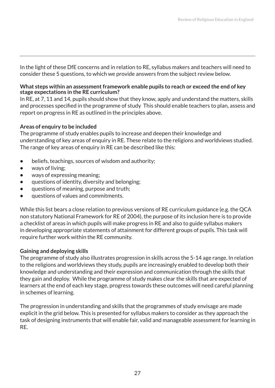In the light of these DfE concerns and in relation to RE, syllabus makers and teachers will need to consider these 5 questions, to which we provide answers from the subject review below.

#### **What steps within an assessment framework enable pupils to reach or exceed the end of key stage expectations in the RE curriculum?**

In RE, at 7, 11 and 14, pupils should show that they know, apply and understand the matters, skills and processes specified in the programme of study This should enable teachers to plan, assess and report on progress in RE as outlined in the principles above.

#### **Areas of enquiry to be included**

The programme of study enables pupils to increase and deepen their knowledge and understanding of key areas of enquiry in RE. These relate to the religions and worldviews studied. The range of key areas of enquiry in RE can be described like this:

- **•** beliefs, teachings, sources of wisdom and authority;
- **•** ways of living;
- **•** ways of expressing meaning;
- **•** questions of identity, diversity and belonging;
- **•** questions of meaning, purpose and truth;
- **•** questions of values and commitments.

While this list bears a close relation to previous versions of RE curriculum guidance (e.g. the QCA non statutory National Framework for RE of 2004), the purpose of its inclusion here is to provide a checklist of areas in which pupils will make progress in RE and also to guide syllabus makers in developing appropriate statements of attainment for different groups of pupils. This task will require further work within the RE community.

#### **Gaining and deploying skills**

The programme of study also illustrates progression in skills across the 5-14 age range. In relation to the religions and worldviews they study, pupils are increasingly enabled to develop both their knowledge and understanding and their expression and communication through the skills that they gain and deploy. While the programme of study makes clear the skills that are expected of learners at the end of each key stage, progress towards these outcomes will need careful planning in schemes of learning.

The progression in understanding and skills that the programmes of study envisage are made explicit in the grid below. This is presented for syllabus makers to consider as they approach the task of designing instruments that will enable fair, valid and manageable assessment for learning in RE.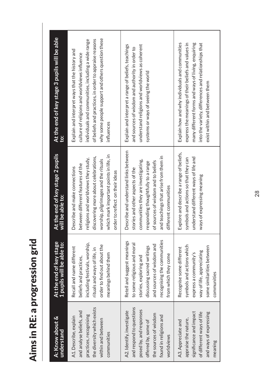| i<br>ń         |
|----------------|
|                |
|                |
|                |
|                |
| J.             |
|                |
| Ì              |
| ì              |
|                |
|                |
| b<br>Ì         |
|                |
|                |
|                |
| Ì              |
|                |
|                |
| r              |
|                |
| $\overline{1}$ |
|                |
|                |
|                |
|                |
|                |
|                |
|                |
|                |
|                |
|                |
|                |
|                |
|                |

| A: Know about &<br>understand                                                                                                                                            | At the end of key stage<br>1 pupils will be able to:                                                                                                                                                   | At the end of key stage 2 pupils<br>will be able to:                                                                                                                                                                                                                     | At the end of key stage 3 pupils will be able<br>io:                                                                                                                                                                                                                                 |
|--------------------------------------------------------------------------------------------------------------------------------------------------------------------------|--------------------------------------------------------------------------------------------------------------------------------------------------------------------------------------------------------|--------------------------------------------------------------------------------------------------------------------------------------------------------------------------------------------------------------------------------------------------------------------------|--------------------------------------------------------------------------------------------------------------------------------------------------------------------------------------------------------------------------------------------------------------------------------------|
| the diversity which exists<br>and analyse beliefs, and<br>practices, recognising<br>A1. Describe, explain<br>within and between<br>communities                           | including festivals, worship,<br>order to find out about the<br>Recall and name different<br>rituals and ways of life, in<br>meanings behind them<br>beliefs and practices,                            | which mark important points in life, in<br>discovering more about celebrations,<br>religions and worldviews they study,<br>worship, pilgrimages and the rituals<br>between different features of the<br>Describe and make connections<br>order to reflect on their ideas | why some people support and others question these<br>of beliefs and practices, in order to appraise reasons<br>individuals and communities, including a wide range<br>Explain and interpret ways that the history and<br>culture of religions and worldviews influence<br>influences |
| and respond to questions<br>posed by, and responses<br>A2. Identify, investigate<br>the sources of wisdom<br>found in religions and<br>offered by, some of<br>worldviews | recognising the communities<br>Retell and suggest meanings<br>to some religious and moral<br>and sources of wisdom and<br>discussing sacred writings<br>from which they come<br>stories, exploring and | Describe and understand links between<br>and teachings that arise from them in<br>communities they are investigating,<br>of sources of wisdom and to beliefs<br>responding thoughtfully to a range<br>stories and other aspects of the<br>different communities          | Explain and interpret a range of beliefs, teachings<br>understand religions and worldviews as coherent<br>and sources of wisdom and authority in order to<br>systems or ways of seeing the world                                                                                     |
| significance and impact<br>of different ways of life<br>and ways of expressing<br>appraise the nature,<br>A3. Appreciate and<br>meaning                                  | symbols and actions which<br>some similarities between<br>Recognise some different<br>way of life, appreciating<br>express a community's<br>communities                                                | Explore and describe a range of beliefs,<br>understand different ways of life and<br>symbols and actions so that they can<br>ways of expressing meaning                                                                                                                  | Explain how and why individuals and communities<br>express the meanings of their beliefs and values in<br>into the variety, differences and relationships that<br>many different forms and ways of living, enquiring<br>exist within and between them                                |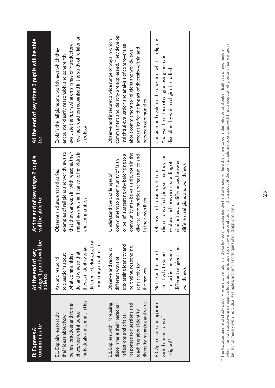| communicate                                                                                                                               | stage 1 pupils will be<br>able to:                                                                                                                               | At the end of key stage 2 pupils                                                                                                                                                              | At the end of key stage 3 pupils will be able                                                                                                                                                                                |
|-------------------------------------------------------------------------------------------------------------------------------------------|------------------------------------------------------------------------------------------------------------------------------------------------------------------|-----------------------------------------------------------------------------------------------------------------------------------------------------------------------------------------------|------------------------------------------------------------------------------------------------------------------------------------------------------------------------------------------------------------------------------|
| <b>B:</b> Express &                                                                                                                       | At the end of key                                                                                                                                                | will be able to:                                                                                                                                                                              | <u>io:</u>                                                                                                                                                                                                                   |
| individuals and communities<br>beliefs, practices and forms<br>of expression influence<br>B1. Explain reasonably<br>their ideas about how | difference belonging to a<br>community might make<br>they can identify what<br>do, and why, so that<br>to questions about<br>what communities<br>Ask and respond | that they can explain, with reasons, their<br>examples of religions and worldviews so<br>meanings and significance to individuals<br>Observe and understand varied<br>and communities         | level approaches recognised in the study of religion or<br>evaluate them, drawing on a range of introductory<br>Explain the religions and worldviews which they<br>encounter clearly, reasonably and coherently;<br>theology |
| diversity, meaning and value                                                                                                              | expressing identity and                                                                                                                                          | community may be valuable, both in the                                                                                                                                                        | commitment and identity are expressed. They develop                                                                                                                                                                          |
| B2. Express with increasing                                                                                                               | belonging, responding                                                                                                                                            | or belief, suggesting why belonging to a                                                                                                                                                      | Observe and interpret a wide range of ways in which                                                                                                                                                                          |
| discernment their personal                                                                                                                | Observe and recount                                                                                                                                              | diverse communities being studied and                                                                                                                                                         | insightful evaluation and analysis of controversies                                                                                                                                                                          |
| responses to questions and                                                                                                                | different ways of                                                                                                                                                | commitment to a community of faith                                                                                                                                                            | accounting for the impact of diversity within and                                                                                                                                                                            |
| teachings about identity,                                                                                                                 | sensitively for                                                                                                                                                  | Understand the challenges of                                                                                                                                                                  | about commitment to religions and worldviews,                                                                                                                                                                                |
| reflections and critical                                                                                                                  | themselves                                                                                                                                                       | in their own lives                                                                                                                                                                            | between communities                                                                                                                                                                                                          |
| B3. Appreciate and appraise<br>varied dimensions of<br>religion <sup>58</sup>                                                             | different religions and<br>similarities between<br>Notice and respond<br>sensitively to some<br>worldviews                                                       | dimensions of religion, so that they can<br>similarities and differences between<br>explore and show understanding of<br>different religions and worldviews<br>Observe and consider different | Consider and evaluate the question: what is religion?<br>Analyse the nature of religion using the main<br>disciplines by which religion is studied                                                                           |

<sup>ss</sup>The RE programme of study usually refers to 'religions and worldviews' to describe the field of enquiry. Here the aim is to consider religion and belief itself as a phenomenon<br>which has both positive and negative featu which has both positive and negative features, and is open to many interpretations: in this aspect of the aims, pupils are to engage with the concept of religion and non-religious 58 The RE programme of study usually refers to 'religions and worldviews' to describe the field of enquiry. Here the aim is to consider religion and belief itself as a phenomenon belief, not merely with individual examples, and similar critiques should apply to both.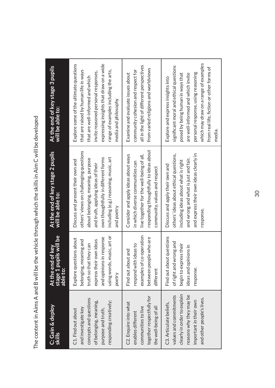| :<br>;<br>;           |   |
|-----------------------|---|
|                       |   |
|                       |   |
|                       |   |
|                       |   |
|                       |   |
|                       |   |
|                       |   |
|                       |   |
|                       |   |
|                       |   |
|                       |   |
|                       |   |
|                       |   |
|                       |   |
| $\ddot{\ddot{\cdot}}$ |   |
|                       |   |
|                       |   |
|                       |   |
|                       |   |
|                       |   |
|                       |   |
|                       |   |
|                       |   |
|                       |   |
|                       |   |
|                       |   |
|                       | J |
|                       |   |
|                       |   |
|                       |   |
|                       |   |
|                       |   |
|                       |   |
|                       |   |
|                       |   |
|                       |   |
|                       |   |
|                       |   |
|                       |   |
|                       |   |
|                       |   |
|                       |   |
|                       |   |
|                       |   |
|                       |   |
|                       |   |
|                       |   |
| .<br>.<br>.           |   |
|                       |   |
|                       |   |
| l                     |   |
|                       |   |
|                       |   |
|                       |   |
|                       |   |
|                       |   |
|                       |   |
|                       |   |
|                       |   |
|                       |   |
|                       |   |
|                       |   |
|                       |   |
|                       |   |
|                       |   |
|                       |   |
|                       |   |
|                       |   |
|                       |   |
|                       |   |
|                       | l |
|                       |   |
| j                     |   |

| C: Gain & deploy<br>skills                                                                                                                                         | stage 1 pupils will be<br>able to:<br>At the end of key                                                                                                                    | At the end of key stage 2 pupils<br>will be able to:                                                                                                                                                                                                  | At the end of key stage 3 pupils<br>will be able to:                                                                                                                                                                                                                                          |
|--------------------------------------------------------------------------------------------------------------------------------------------------------------------|----------------------------------------------------------------------------------------------------------------------------------------------------------------------------|-------------------------------------------------------------------------------------------------------------------------------------------------------------------------------------------------------------------------------------------------------|-----------------------------------------------------------------------------------------------------------------------------------------------------------------------------------------------------------------------------------------------------------------------------------------------|
| concepts and questions<br>of belonging, meaning,<br>responding creatively;<br>and investigate key<br>purpose and truth,<br>C1. Find out about                      | using words, music, art or<br>and opinions in response<br>Explore questions about<br>belonging, meaning and<br>express their own ideas<br>truth so that they can<br>poetry | others' views on challenging questions<br>including (e.g.) reasoning, music, art<br>own thoughtfully in different forms<br>about belonging, meaning, purpose<br>Discuss and present their own and<br>and truth, applying ideas of their<br>and poetry | expressing insights that draw on a wide<br>Explore some of the ultimate questions<br>range of examples including the arts,<br>that are raised by human life in ways<br>invite reasoned personal responses,<br>that are well-informed and which<br>media and philosophy                        |
| together respectfully for<br>C2. Enquire into what<br>the well-being of all<br>communities to live<br>enables different                                            | examples of co-operation<br>between people who are<br>respond with ideas to<br>Find out about and<br>different                                                             | responding thoughtfully to ideas about<br>Consider and apply ideas about ways<br>live together for the well-being of all,<br>in which diverse communities can<br>community, values and respect                                                        | all in the light of different perspectives<br>from varied religions and worldviews<br>community cohesion and respect for<br>Examine and evaluate issues about                                                                                                                                 |
| clearly in order to explain<br>reasons why they may be<br>values and commitments<br>and other people's lives.<br>important in their own<br>C3. Articulate beliefs, | Find out about questions<br>of right and wrong and<br>begin to express their<br>ideas and opinions in<br>response.                                                         | and express their own ideas clearly in<br>others' ideas about ethical questions,<br>and wrong and what is just and fair,<br>including ideas about what is right<br>Discuss and apply their own and<br>response.                                       | which may draw on a range of examples<br>significant moral and ethical questions<br>from real life, fiction or other forms of<br>personal response, using reasoning<br>posed by being human in ways that<br>are well-informed and which invite<br>Explore and express insights into<br>media. |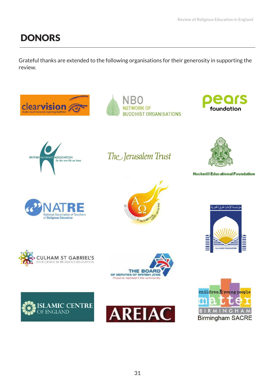# **DONORS**

Grateful thanks are extended to the following organisations for their generosity in supporting the review.









The Jerusalem Trust



**Hockerill Educational Foundation**